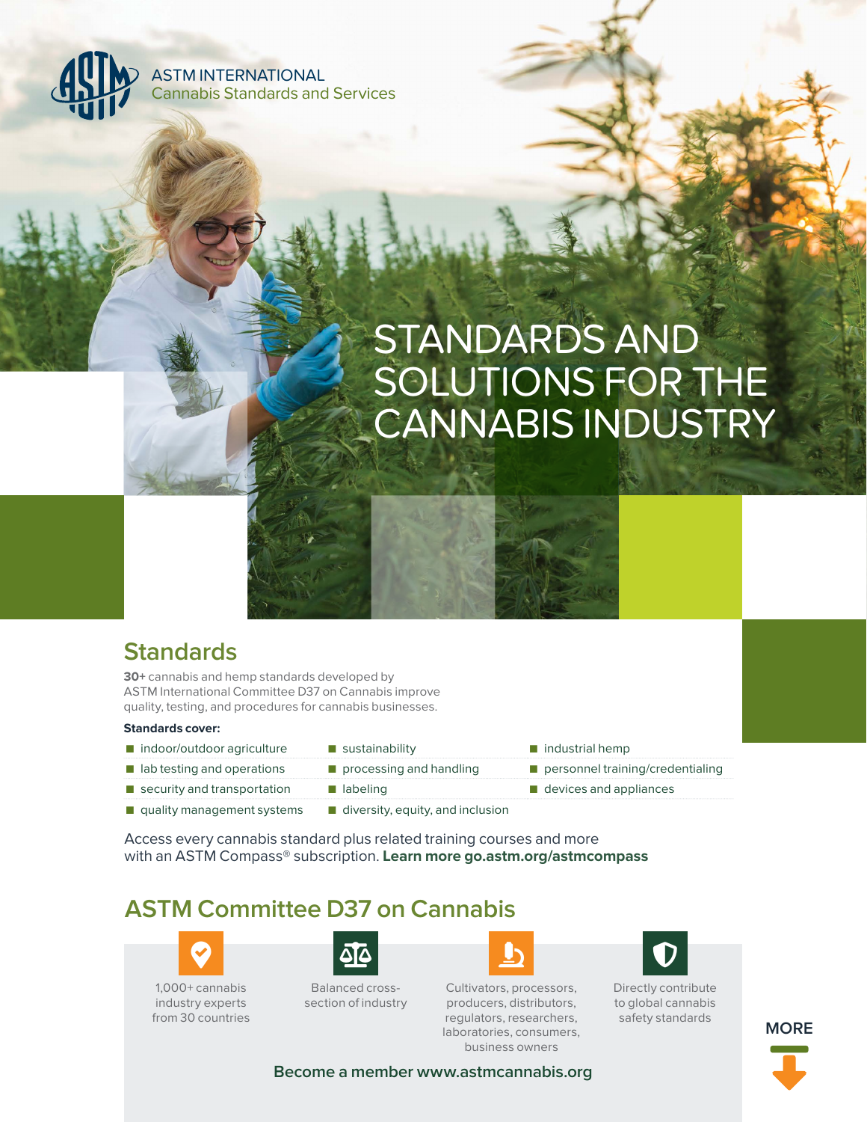ASTM INTERNATIONAL Cannabis Standards and Services

# STANDARDS AND SOLUTIONS FOR THE CANNABIS INDUSTRY

# **Standards**

**30+** cannabis and hemp standards developed by ASTM International Committee D37 on Cannabis improve quality, testing, and procedures for cannabis businesses.

#### **Standards cover:**

- indoor/outdoor agriculture sustainability ■ industrial hemp
- lab testing and operations processing and handling personnel training/credentialing
- -
- security and transportation labeling labeling devices and appliances
- quality management systems diversity, equity, and inclusion
	-

Access every cannabis standard plus related training courses and more with an ASTM Compass® subscription. **Learn more go.astm.org/astmcompass**

# **ASTM Committee D37 on Cannabis**



industry experts from 30 countries



Balanced crosssection of industry



Cultivators, processors, producers, distributors, regulators, researchers, laboratories, consumers, business owners



Directly contribute to global cannabis safety standards



**Become a member www.astmcannabis.org**